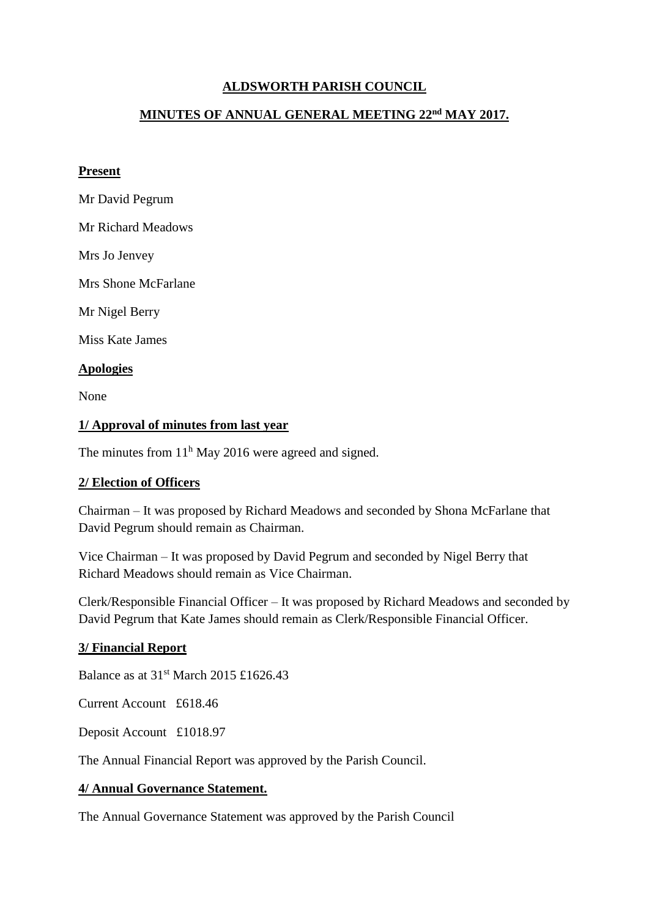## **ALDSWORTH PARISH COUNCIL**

## **MINUTES OF ANNUAL GENERAL MEETING 22nd MAY 2017.**

#### **Present**

- Mr David Pegrum
- Mr Richard Meadows

Mrs Jo Jenvey

Mrs Shone McFarlane

Mr Nigel Berry

Miss Kate James

## **Apologies**

None

#### **1/ Approval of minutes from last year**

The minutes from  $11<sup>h</sup>$  May 2016 were agreed and signed.

## **2/ Election of Officers**

Chairman – It was proposed by Richard Meadows and seconded by Shona McFarlane that David Pegrum should remain as Chairman.

Vice Chairman – It was proposed by David Pegrum and seconded by Nigel Berry that Richard Meadows should remain as Vice Chairman.

Clerk/Responsible Financial Officer – It was proposed by Richard Meadows and seconded by David Pegrum that Kate James should remain as Clerk/Responsible Financial Officer.

## **3/ Financial Report**

Balance as at  $31<sup>st</sup>$  March 2015 £1626.43

Current Account £618.46

Deposit Account £1018.97

The Annual Financial Report was approved by the Parish Council.

## **4/ Annual Governance Statement.**

The Annual Governance Statement was approved by the Parish Council